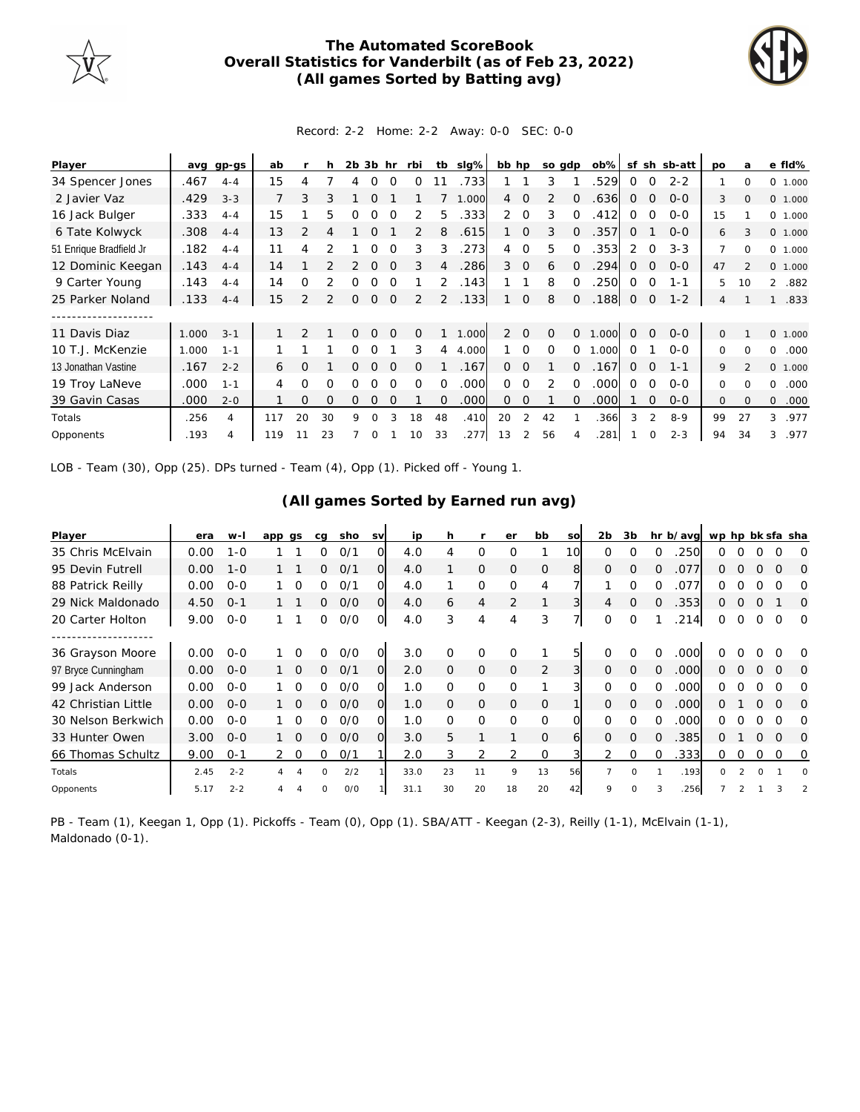

## **The Automated ScoreBook Overall Statistics for Vanderbilt (as of Feb 23, 2022) (All games Sorted by Batting avg)**



## Record: 2-2 Home: 2-2 Away: 0-0 SEC: 0-0

| Player                  | avq   | gp-gs   | ab             |               |          | 2b       | 3b             | hr       | rbi      | tb             | slg%  | bb hp          |                | so gdp   |          | $ob\%$ | sf             | sh             | sb-att  | po             | a        | e fld%                |
|-------------------------|-------|---------|----------------|---------------|----------|----------|----------------|----------|----------|----------------|-------|----------------|----------------|----------|----------|--------|----------------|----------------|---------|----------------|----------|-----------------------|
| 34 Spencer Jones        | .467  | $4 - 4$ | 15             |               |          |          | Ο              |          | Ω        |                | .733  |                |                | 3        |          | .529   | 0              |                | $2 - 2$ |                | $\Omega$ | $\Omega$<br>1.000     |
| 2 Javier Vaz            | .429  | $3 - 3$ | $\overline{7}$ | 3             | 3        |          |                |          |          |                | 1.000 | $\overline{4}$ | $\Omega$       | 2        | 0        | .636   | 0              | $\Omega$       | $0 - 0$ | 3              | $\Omega$ | $\Omega$<br>1.000     |
| 16 Jack Bulger          | .333  | $4 - 4$ | 15             |               | 5        |          |                |          | 2        | 5.             | .333  | $\overline{2}$ | $\Omega$       | 3        | Ω        | .412   | 0              | $\Omega$       | $0 - 0$ | 15             |          | 0 1.000               |
| 6 Tate Kolwyck          | .308  | $4 - 4$ | 13             | 2             | 4        |          | $\Omega$       |          | 2        | 8              | .615  |                | $\Omega$       | 3        | 0        | .357   | $\Omega$       |                | $O-O$   | 6              | 3        | 0 1.000               |
| 51 Enrique Bradfield Jr | .182  | $4 - 4$ | 11             | 4             |          |          |                |          | 3        | 3              | 273   | 4              | $\Omega$       | 5        | $\Omega$ | .353   | 2              |                | $3 - 3$ | 7              | $\Omega$ | $\Omega$<br>1.000     |
| 12 Dominic Keegan       | .143  | $4 - 4$ | 14             |               |          |          | $\Omega$       |          | 3        |                | 286   | 3              | $\overline{0}$ | 6        |          | 294    | O              | $\Omega$       | $O-O$   | 47             |          | $\circ$<br>1.000      |
| 9 Carter Young          | .143  | $4 - 4$ | 14             | 0             |          | Ω        | O              |          |          | 2              | .143  |                |                | 8        | 0        | .250   | 0              | $\Omega$       | $1 - 1$ | 5              | 10       | $\mathcal{L}$<br>.882 |
| 25 Parker Noland        | .133  | $4 - 4$ | 15             | $\mathcal{P}$ |          | 0        | $\overline{0}$ | $\Omega$ | 2        | $\overline{2}$ | .133  |                | $\overline{0}$ | 8        | $\Omega$ | .188   | $\overline{O}$ | $\overline{0}$ | $1 - 2$ | $\overline{4}$ |          | .833                  |
|                         |       |         |                |               |          |          |                |          |          |                |       |                |                |          |          |        |                |                |         |                |          |                       |
| 11 Davis Diaz           | 1.000 | $3 - 1$ |                | 2             |          | $\Omega$ | $\mathbf{0}$   | $\Omega$ | 0        |                | 1.000 | $\overline{2}$ | $\Omega$       | 0        | 0        | 1.000  | $\overline{0}$ | $\Omega$       | $0 - 0$ | $\mathbf{0}$   |          | 0 1.000               |
| 10 T.J. McKenzie        | 1.000 | $1 - 1$ |                |               |          | 0        | $\Omega$       |          | 3        | 4              | 4.000 |                | $\Omega$       | $\Omega$ | 0        | .000   | Ω              |                | $O-O$   | $\Omega$       | $\Omega$ | $\Omega$<br>.000      |
| 13 Jonathan Vastine     | .167  | $2 - 2$ | 6              | Ω             |          |          | $\Omega$       |          | $\Omega$ |                | .167  | 0              | $\Omega$       |          |          | .167   | 0              | $\Omega$       | $1 - 1$ | 9              |          | $\Omega$<br>1.000     |
| 19 Troy LaNeve          | .000  | $1 - 1$ | $\overline{4}$ | 0             | 0        | 0        | O              | ∩        | $\Omega$ | $\Omega$       | .000  | 0              | 0              | 2        | $\Omega$ | .000   | 0              | $\Omega$       | $0 - 0$ | 0              | $\Omega$ | 0<br>.000             |
| 39 Gavin Casas          | .000  | $2 - 0$ |                | $\Omega$      | $\Omega$ | 0        | $\Omega$       | $\Omega$ |          | $\Omega$       | .000  | 0              | $\mathbf 0$    |          | O.       | .000   |                | $\Omega$       | $0 - 0$ | $\mathbf{O}$   | $\Omega$ | $\Omega$<br>.000      |
| Totals                  | .256  | 4       | 117            | 20            | 30       | 9        | 0              | 3        | 18       | 48             | .410  | 20             | 2              | 42       |          | .366   | 3              | $\mathfrak{D}$ | $8 - 9$ | 99             | 27       | 3<br>.977             |
| Opponents               | .193  | 4       | 119            |               | 23       |          | Ω              |          | 10       | 33             | .277  | 13             | $\mathcal{P}$  | 56       |          | .281   |                | $\Omega$       | $2 - 3$ | 94             | 34       | .977<br>3             |

LOB - Team (30), Opp (25). DPs turned - Team (4), Opp (1). Picked off - Young 1.

## **(All games Sorted by Earned run avg)**

| Player              | era  | w-l     | app gs         |                 | ca       | sho | <b>SV</b>      | ip   | h        |                | er             | bb            | <b>SO</b> | 2 <sub>b</sub> | 3b       |          | hr b/avg | wp hp bk sfa sha |               |          |          |          |
|---------------------|------|---------|----------------|-----------------|----------|-----|----------------|------|----------|----------------|----------------|---------------|-----------|----------------|----------|----------|----------|------------------|---------------|----------|----------|----------|
| 35 Chris McElvain   | 0.00 | $1 - 0$ |                |                 | 0        | O/1 | Ω              | 4.0  |          | 0              | $\Omega$       |               | 10        | $\Omega$       |          |          | 250      | O                |               |          |          | $\Omega$ |
| 95 Devin Futrell    | 0.00 | $1 - 0$ |                |                 | $\Omega$ | O/1 | 0              | 4.0  |          | $\mathbf{O}$   | $\Omega$       | $\mathbf{O}$  | 8         | $\Omega$       | $\Omega$ | $\Omega$ | .077     | 0                | Ω             | $\Omega$ | $\Omega$ | $\Omega$ |
| 88 Patrick Reilly   | 0.00 | $O - O$ |                | $\Omega$        | 0        | O/1 | Ω              | 4.0  |          | 0              | $\Omega$       | 4             |           |                | O        | $\Omega$ | .077     | O                |               |          |          | O        |
| 29 Nick Maldonado   | 4.50 | $O - 1$ |                |                 | 0        | O/O | $\Omega$       | 4.0  | 6        | $\overline{4}$ | $\overline{2}$ |               | 3         | 4              | $\Omega$ | $\Omega$ | .353     | 0                | 0             | $\Omega$ |          | $\Omega$ |
| 20 Carter Holton    | 9.00 | $O - O$ |                |                 | 0        | O/O | O              | 4.0  | 3        | $\overline{4}$ | 4              | 3             | 71        | $\Omega$       | $\Omega$ |          | 214      | 0                | 0             | $\Omega$ | $\Omega$ | $\Omega$ |
|                     |      |         |                |                 |          |     |                |      |          |                |                |               |           |                |          |          |          |                  |               |          |          |          |
| 36 Grayson Moore    | 0.00 | $O - O$ |                | O               | 0        | O/O | $\Omega$       | 3.0  | Ω        | 0              | $\Omega$       |               | 5         |                | Ω        | 0        | .000     |                  |               |          |          | O        |
| 97 Bryce Cunningham | 0.00 | $0 - 0$ |                | $1\quad \Omega$ | $\Omega$ | O/1 | $\overline{O}$ | 2.0  | $\Omega$ | $\mathbf{O}$   | $\Omega$       | 2             | 3         | $\Omega$       | $\Omega$ | $\Omega$ | .000     | 0                | $\Omega$      | $\Omega$ | $\Omega$ | $\Omega$ |
| 99 Jack Anderson    | 0.00 | $O - O$ |                | $\Omega$        | ∩        | 0/0 | O              | 1.0  | 0        | 0              | $\Omega$       |               | 31        |                | $\Omega$ | $\Omega$ | .000     | O                |               |          |          | $\Omega$ |
| 42 Christian Little | 0.00 | $O - O$ |                | $1\quad \Omega$ | 0        | O/O | $\Omega$       | 1.0  | $\Omega$ | $\mathbf{O}$   | $\Omega$       | $\Omega$      |           | $\Omega$       | $\Omega$ | $\Omega$ | .000     | 0                |               | $\Omega$ | $\Omega$ | $\Omega$ |
| 30 Nelson Berkwich  | 0.00 | $O - O$ |                | $\overline{O}$  | 0        | O/O | Ω              | 1.0  | $\Omega$ | $\Omega$       | $\Omega$       | 0             | $\Omega$  | $\Omega$       | $\Omega$ | $\Omega$ | .000     | 0                | n             | O        | $\Omega$ | ∩        |
| 33 Hunter Owen      | 3.00 | $O - O$ |                | $1\quad \Omega$ | 0        | O/O | $\Omega$       | 3.0  | 5        |                |                | $\mathcal{O}$ | 6         | $\Omega$       | $\Omega$ |          | 385      | 0                |               | $\Omega$ | $\Omega$ | $\Omega$ |
| 66 Thomas Schultz   | 9.00 | $O - 1$ | $\overline{2}$ | $\circ$         | 0        | 0/1 |                | 2.0  | 3        | 2              | 2              | 0             |           | 2              | $\Omega$ | $\Omega$ | .333     | 0                | 0             | 0        | 0        | 0        |
| Totals              | 2.45 | $2 - 2$ | 4              | 4               | $\Omega$ | 2/2 |                | 33.0 | 23       | 11             | 9              | 13            | 56        | $\overline{7}$ | $\Omega$ |          | .193     | $\Omega$         | $\mathcal{P}$ | $\Omega$ |          | $\Omega$ |
| Opponents           | 5.17 | $2 - 2$ |                |                 | $\Omega$ | 0/0 |                | 31.1 | 30       | 20             | 18             | 20            | 42        | Q              |          |          | .256     |                  |               |          |          |          |

PB - Team (1), Keegan 1, Opp (1). Pickoffs - Team (0), Opp (1). SBA/ATT - Keegan (2-3), Reilly (1-1), McElvain (1-1), Maldonado (0-1).